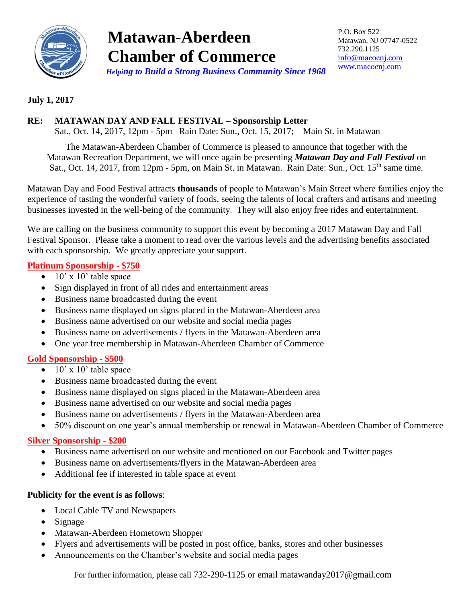

# **Matawan-Aberdeen Chamber of Commerce**  *Helping to Build a Strong Business Community Since 1968*

P.O. Box 522 Matawan, NJ 07747-0522 732.290.1125 [info@macocnj.com](mailto:info@macocnj.com) [www.macocnj.com](http://www.macocnj.com/)

#### **July 1, 2017**

#### **RE: MATAWAN DAY AND FALL FESTIVAL – Sponsorship Letter**

Sat., Oct. 14, 2017, 12pm - 5pm Rain Date: Sun., Oct. 15, 2017; Main St. in Matawan

The Matawan-Aberdeen Chamber of Commerce is pleased to announce that together with the Matawan Recreation Department, we will once again be presenting *Matawan Day and Fall Festival* on Sat., Oct. 14, 2017, from 12pm - 5pm, on Main St. in Matawan. Rain Date: Sun., Oct. 15<sup>th</sup> same time.

Matawan Day and Food Festival attracts **thousands** of people to Matawan's Main Street where families enjoy the experience of tasting the wonderful variety of foods, seeing the talents of local crafters and artisans and meeting businesses invested in the well-being of the community. They will also enjoy free rides and entertainment.

We are calling on the business community to support this event by becoming a 2017 Matawan Day and Fall Festival Sponsor. Please take a moment to read over the various levels and the advertising benefits associated with each sponsorship. We greatly appreciate your support.

#### **Platinum Sponsorship - \$750**

- $\bullet$  10' x 10' table space
- Sign displayed in front of all rides and entertainment areas
- Business name broadcasted during the event
- Business name displayed on signs placed in the Matawan-Aberdeen area
- Business name advertised on our website and social media pages
- Business name on advertisements / flyers in the Matawan-Aberdeen area
- One year free membership in Matawan-Aberdeen Chamber of Commerce

#### **Gold Sponsorship - \$500**

- $\bullet$  10' x 10' table space
- Business name broadcasted during the event
- Business name displayed on signs placed in the Matawan-Aberdeen area
- Business name advertised on our website and social media pages
- Business name on advertisements / flyers in the Matawan-Aberdeen area
- 50% discount on one year's annual membership or renewal in Matawan-Aberdeen Chamber of Commerce

#### **Silver Sponsorship - \$200**

- Business name advertised on our website and mentioned on our Facebook and Twitter pages
- Business name on advertisements/flyers in the Matawan-Aberdeen area
- Additional fee if interested in table space at event

#### **Publicity for the event is as follows**:

- Local Cable TV and Newspapers
- Signage
- Matawan-Aberdeen Hometown Shopper
- Flyers and advertisements will be posted in post office, banks, stores and other businesses
- Announcements on the Chamber's website and social media pages

For further information, please call 732-290-1125 or email matawanday2017@gmail.com